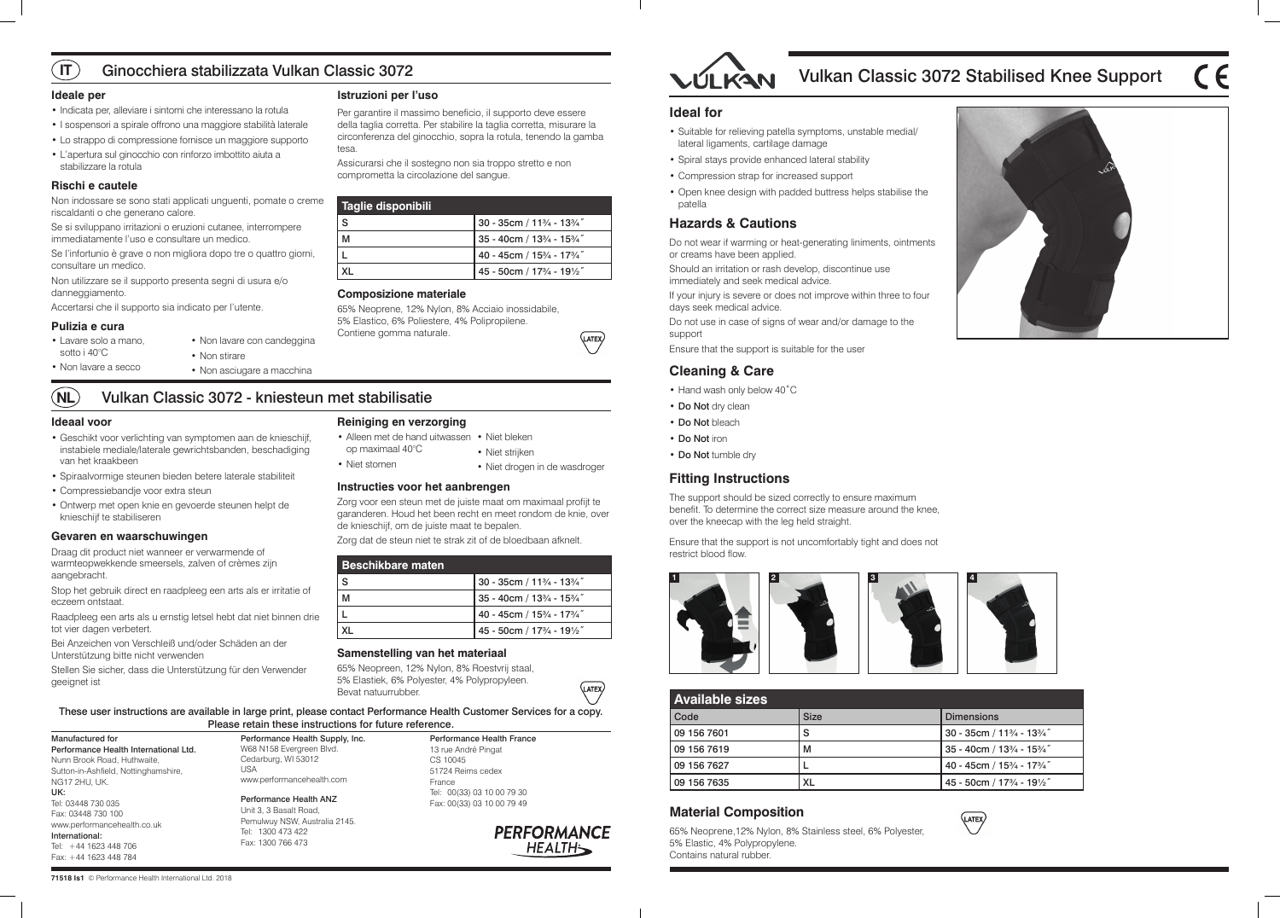# Vulkan Classic 3072 Stabilised Knee Support









**71518 Is1** © Performance Health International Ltd. 2018

| <b>Available sizes</b> |             |                            |
|------------------------|-------------|----------------------------|
| Code                   | <b>Size</b> | <b>Dimensions</b>          |
| 09 156 7601            | S           | 30 - 35cm / 113/4 - 133/4" |
| 09 156 7619            | м           | 35 - 40cm / 133/4 - 153/4" |
| 09 156 7627            |             | 40 - 45cm / 153/4 - 173/4" |
| 09 156 7635            | XL          | 45 - 50cm / 173/4 - 191/2" |

# **Material Composition**

65% Neoprene,12% Nylon, 8% Stainless steel, 6% Polyester, 5% Elastic, 4% Polypropylene. Contains natural rubber.



### **Ideaal voor**

- Geschikt voor verlichting van symptomen aan de knieschijf, instabiele mediale/laterale gewrichtsbanden, beschadiging van het kraakbeen
- Spiraalvormige steunen bieden betere laterale stabiliteit
- Compressiebandje voor extra steun
- Ontwerp met open knie en gevoerde steunen helpt de knieschijf te stabiliseren

### **Gevaren en waarschuwingen**

Draag dit product niet wanneer er verwarmende of warmteopwekkende smeersels, zalven of crèmes zijn aangebracht.

Stop het gebruik direct en raadpleeg een arts als er irritatie of eczeem ontstaat.

Raadpleeg een arts als u ernstig letsel hebt dat niet binnen drie tot vier dagen verbetert.

Bei Anzeichen von Verschleiß und/oder Schäden an der Unterstützung bitte nicht verwenden

Stellen Sie sicher, dass die Unterstützung für den Verwender geeignet ist

# **Reiniging en verzorging**

### **Instructies voor het aanbrengen**

Zorg voor een steun met de juiste maat om maximaal profijt te garanderen. Houd het been recht en meet rondom de knie, over de knieschijf, om de juiste maat te bepalen.

Zorg dat de steun niet te strak zit of de bloedbaan afknelt.

| htie |  |  |
|------|--|--|
|      |  |  |
|      |  |  |

(LATEX)

(датех)

| <b>Beschikbare maten</b> |                                        |  |
|--------------------------|----------------------------------------|--|
| S                        | $\mid$ 30 - 35cm / 11¾ - 13¾ $\degree$ |  |
| м                        | $\mid$ 35 - 40cm / 13¾ - 15¾ $\degree$ |  |
|                          | 40 - 45cm / 153/4 - 173/4"             |  |
|                          | 45 - 50cm / 173/4 - 191/2"             |  |

#### $\left(\mathsf{\Pi}\right)$ Ginocchiera stabilizzata Vulkan Classic 3072

### **Samenstelling van het materiaal**

65% Neopreen, 12% Nylon, 8% Roestvrij staal, 5% Elastiek, 6% Polyester, 4% Polypropyleen. Bevat natuurrubber.

### **Ideale per**

- Indicata per, alleviare i sintomi che interessano la rotula
- I sospensori a spirale offrono una maggiore stabilità laterale
- Lo strappo di compressione fornisce un maggiore supporto
- L'apertura sul ginocchio con rinforzo imbottito aiuta a stabilizzare la rotula

### **Rischi e cautele**

Non indossare se sono stati applicati unguenti, pomate o creme riscaldanti o che generano calore.

Se si sviluppano irritazioni o eruzioni cutanee, interrompere immediatamente l'uso e consultare un medico.

Se l'infortunio è grave o non migliora dopo tre o quattro giorni, consultare un medico.

Non utilizzare se il supporto presenta segni di usura e/o danneggiamento.

Accertarsi che il supporto sia indicato per l'utente.

### **Pulizia e cura**

**Istruzioni per l'uso**

• Alleen met de hand uitwassen • Niet bleken • Niet stomen • Niet strijken

Per garantire il massimo beneficio, il supporto deve essere della taglia corretta. Per stabilire la taglia corretta, misurare la circonferenza del ginocchio, sopra la rotula, tenendo la gamba

tesa.

Assicurarsi che il sostegno non sia troppo stretto e non

S  $\vert$  30 - 35cm / 11¼ - 13¼ M  $\vert$  35 - 40cm / 13¼ - 15¼

comprometta la circolazione del sangue.

**Taglie disponibili**

L 40 - 45cm / 15¾ - 17¾˝

XL 45 - 50cm / 17¾ - 19½˝

**Composizione materiale**

65% Neoprene, 12% Nylon, 8% Acciaio inossidabile, 5% Elastico, 6% Poliestere, 4% Polipropilene.

Contiene gomma naturale.

These user instructions are available in large print, please contact Performance Health Customer Services for a copy. Please retain these instructions for future reference.

- Non lavare con candeggina • Non stirare • Non asciugare a macchina
- **NL** Vulkan Classic 3072 - kniesteun met stabilisatie

Manufactured for Performance Health International Ltd. Nunn Brook Road, Huthwaite, Sutton-in-Ashfield, Nottinghamshire, NG17 2HU, UK. UK: Tel: 03448 730 035 Fax: 03448 730 100 www.performancehealth.co.uk International: Tel: +44 1623 448 706 Fax: +44 1623 448 784

Performance Health Supply, Inc. W68 N158 Evergreen Blvd. Cedarburg, WI 53012 USA www.performancehealth.com

Performance Health ANZ Unit 3, 3 Basalt Road, Pemulwuy NSW, Australia 2145. Tel: 1300 473 422 Fax: 1300 766 473

Performance Health France 13 rue André Pingat CS 10045 51724 Reims cedex France Tel: 00(33) 03 10 00 79 30 Fax: 00(33) 03 10 00 79 49

> **PERFORMANCE HEALTH**



### **Ideal for**

- Suitable for relieving patella symptoms, unstable medial/ lateral ligaments, cartilage damage
- Spiral stays provide enhanced lateral stability
- Compression strap for increased support
- Open knee design with padded buttress helps stabilise the patella

# **Hazards & Cautions**

Do not wear if warming or heat-generating liniments, ointments or creams have been applied.

Should an irritation or rash develop, discontinue use immediately and seek medical advice.

If your injury is severe or does not improve within three to four days seek medical advice.

Do not use in case of signs of wear and/or damage to the support

Ensure that the support is suitable for the user

# **Cleaning & Care**

- Hand wash only below 40˚C
- Do Not dry clean
- Do Not bleach
- Do Not iron
- Do Not tumble dry

## **Fitting Instructions**

The support should be sized correctly to ensure maximum benefit. To determine the correct size measure around the knee, over the kneecap with the leg held straight.

Ensure that the support is not uncomfortably tight and does not restrict blood flow.

• Lavare solo a mano, sotto i 40°C

• Non lavare a secco

- op maximaal 40°C
	- Niet drogen in de wasdroger